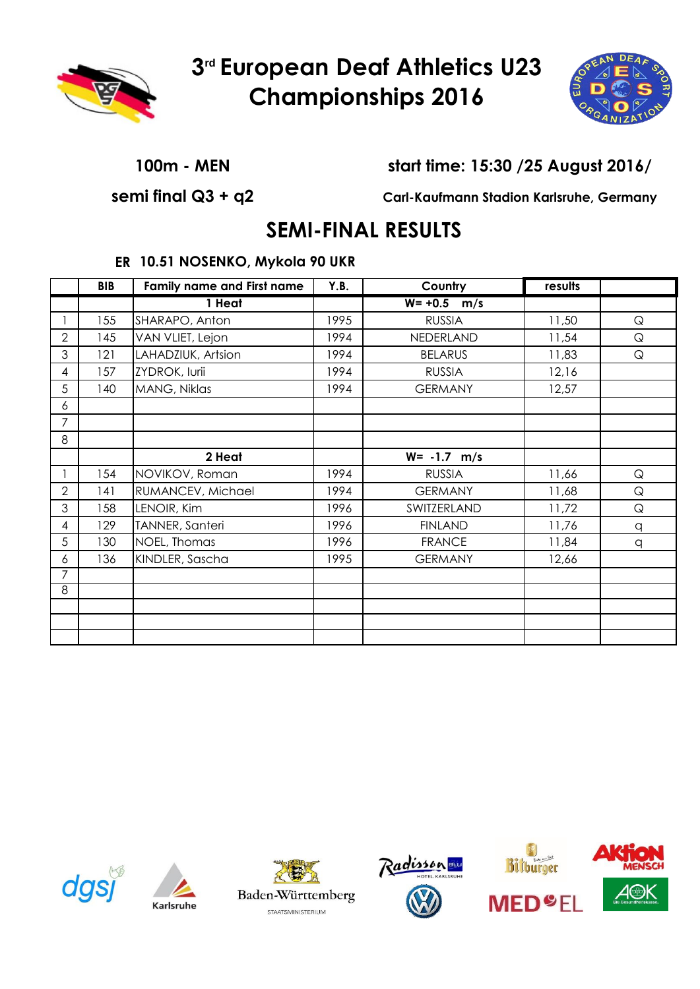



### **100m - MEN start time: 15:30 /25 August 2016/**

**semi final Q3 + q2 Carl-Kaufmann Stadion Karlsruhe, Germany**

## **SEMI-FINAL RESULTS**

### **ER 10.51 NOSENKO, Mykola 90 UKR**

|   | <b>BIB</b> | <b>Family name and First name</b> |      | Country           | results |             |
|---|------------|-----------------------------------|------|-------------------|---------|-------------|
|   |            | 1 Heat                            |      | $W = +0.5$<br>m/s |         |             |
|   | 155        | SHARAPO, Anton                    | 1995 | <b>RUSSIA</b>     | 11,50   | $\mathsf Q$ |
| 2 | 145        | VAN VLIET, Lejon                  | 1994 | NEDERLAND         | 11,54   | $\mathsf Q$ |
| 3 | 121        | LAHADZIUK, Artsion                | 1994 | <b>BELARUS</b>    | 11,83   | $\mathsf Q$ |
| 4 | 157        | ZYDROK, Iurii                     | 1994 | <b>RUSSIA</b>     | 12,16   |             |
| 5 | 140        | MANG, Niklas                      | 1994 | <b>GERMANY</b>    | 12,57   |             |
| 6 |            |                                   |      |                   |         |             |
| 7 |            |                                   |      |                   |         |             |
| 8 |            |                                   |      |                   |         |             |
|   |            | 2 Heat                            |      | $W = -1.7$ m/s    |         |             |
|   | 154        | NOVIKOV, Roman                    | 1994 | <b>RUSSIA</b>     | 11,66   | $\mathsf Q$ |
| 2 | 141        | RUMANCEV, Michael                 | 1994 | <b>GERMANY</b>    | 11,68   | $\mathsf Q$ |
| 3 | 158        | LENOIR, Kim                       | 1996 | SWITZERLAND       | 11,72   | $\mathsf Q$ |
| 4 | 129        | TANNER, Santeri                   | 1996 | <b>FINLAND</b>    | 11,76   | q           |
| 5 | 130        | NOEL, Thomas                      | 1996 | <b>FRANCE</b>     | 11,84   | q           |
| 6 | 136        | KINDLER, Sascha                   | 1995 | <b>GERMANY</b>    | 12,66   |             |
| 7 |            |                                   |      |                   |         |             |
| 8 |            |                                   |      |                   |         |             |
|   |            |                                   |      |                   |         |             |
|   |            |                                   |      |                   |         |             |
|   |            |                                   |      |                   |         |             |











**MED<sup>O</sup>EL** 

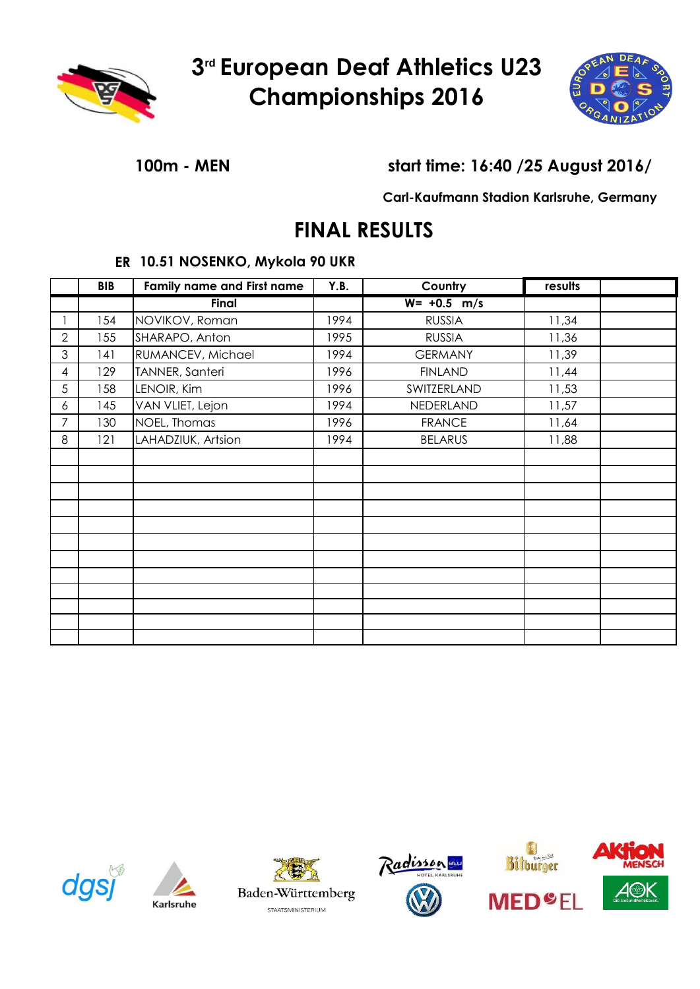



### **100m - MEN start time: 16:40 /25 August 2016/**

**Carl-Kaufmann Stadion Karlsruhe, Germany**

# **FINAL RESULTS**

### **ER 10.51 NOSENKO, Mykola 90 UKR**

|                | <b>BIB</b> | <b>Family name and First name</b> |      | Country        | results |  |
|----------------|------------|-----------------------------------|------|----------------|---------|--|
|                |            | Final                             |      | $W = +0.5$ m/s |         |  |
|                | 154        | NOVIKOV, Roman                    | 1994 | <b>RUSSIA</b>  | 11,34   |  |
| $\overline{2}$ | 155        | SHARAPO, Anton                    | 1995 | <b>RUSSIA</b>  | 11,36   |  |
| 3              | 141        | RUMANCEV, Michael                 | 1994 | <b>GERMANY</b> | 11,39   |  |
| 4              | 129        | TANNER, Santeri                   | 1996 | <b>FINLAND</b> | 11,44   |  |
| 5              | 158        | LENOIR, Kim                       | 1996 | SWITZERLAND    | 11,53   |  |
| 6              | 145        | VAN VLIET, Lejon                  | 1994 | NEDERLAND      | 11,57   |  |
| 7              | 130        | NOEL, Thomas                      | 1996 | <b>FRANCE</b>  | 11,64   |  |
| 8              | 121        | LAHADZIUK, Artsion                | 1994 | <b>BELARUS</b> | 11,88   |  |
|                |            |                                   |      |                |         |  |
|                |            |                                   |      |                |         |  |
|                |            |                                   |      |                |         |  |
|                |            |                                   |      |                |         |  |
|                |            |                                   |      |                |         |  |
|                |            |                                   |      |                |         |  |
|                |            |                                   |      |                |         |  |
|                |            |                                   |      |                |         |  |
|                |            |                                   |      |                |         |  |
|                |            |                                   |      |                |         |  |
|                |            |                                   |      |                |         |  |
|                |            |                                   |      |                |         |  |









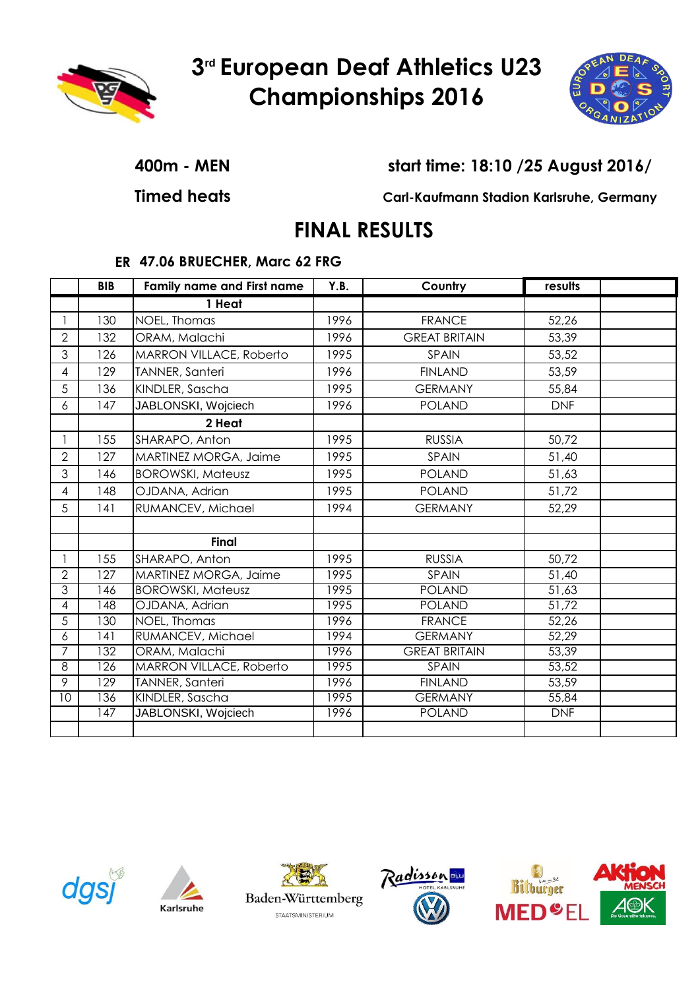



**400m - MEN start time: 18:10 /25 August 2016/**

**Timed heats Carl-Kaufmann Stadion Karlsruhe, Germany**

# **FINAL RESULTS**

### **ER 47.06 BRUECHER, Marc 62 FRG**

|                | <b>BIB</b>       | <b>Family name and First name</b> | Y.B. | Country              | results    |  |
|----------------|------------------|-----------------------------------|------|----------------------|------------|--|
|                |                  | 1 Heat                            |      |                      |            |  |
|                | 130              | NOEL, Thomas                      | 1996 | <b>FRANCE</b>        | 52,26      |  |
| $\overline{2}$ | 132              | ORAM, Malachi                     | 1996 | <b>GREAT BRITAIN</b> | 53,39      |  |
| 3              | 126              | MARRON VILLACE, Roberto           | 1995 | SPAIN                | 53,52      |  |
| 4              | 129              | TANNER, Santeri                   | 1996 | <b>FINLAND</b>       | 53,59      |  |
| 5              | 136              | KINDLER, Sascha                   | 1995 | <b>GERMANY</b>       | 55,84      |  |
| 6              | 147              | JABLONSKI, Wojciech               | 1996 | <b>POLAND</b>        | <b>DNF</b> |  |
|                |                  | 2 Heat                            |      |                      |            |  |
|                | 155              | SHARAPO, Anton                    | 1995 | <b>RUSSIA</b>        | 50,72      |  |
| $\overline{2}$ | 127              | MARTINEZ MORGA, Jaime             | 1995 | SPAIN                | 51,40      |  |
| 3              | 146              | <b>BOROWSKI, Mateusz</b>          | 1995 | <b>POLAND</b>        | 51,63      |  |
| 4              | 148              | OJDANA, Adrian                    | 1995 | <b>POLAND</b>        | 51,72      |  |
| 5              | 141              | RUMANCEV, Michael                 | 1994 | <b>GERMANY</b>       | 52,29      |  |
|                |                  |                                   |      |                      |            |  |
|                |                  | <b>Final</b>                      |      |                      |            |  |
| $\mathbf{1}$   | 155              | SHARAPO, Anton                    | 1995 | <b>RUSSIA</b>        | 50,72      |  |
| $\mathbf{2}$   | 127              | MARTINEZ MORGA, Jaime             | 1995 | SPAIN                | 51,40      |  |
| $\overline{3}$ | 146              | <b>BOROWSKI, Mateusz</b>          | 1995 | <b>POLAND</b>        | 51,63      |  |
| 4              | 148              | OJDANA, Adrian                    | 1995 | <b>POLAND</b>        | 51,72      |  |
| $\overline{5}$ | 130              | NOEL, Thomas                      | 1996 | <b>FRANCE</b>        | 52,26      |  |
| 6              | 141              | RUMANCEV, Michael                 | 1994 | <b>GERMANY</b>       | 52,29      |  |
| $\overline{7}$ | 132              | ORAM, Malachi                     | 1996 | <b>GREAT BRITAIN</b> | 53,39      |  |
| 8              | 126              | MARRON VILLACE, Roberto           | 1995 | SPAIN                | 53,52      |  |
| 9              | $\overline{129}$ | <b>TANNER, Santeri</b>            | 1996 | <b>FINLAND</b>       | 53,59      |  |
| 10             | 136              | KINDLER, Sascha                   | 1995 | <b>GERMANY</b>       | 55,84      |  |
|                | 147              | JABLONSKI, Wojciech               | 1996 | <b>POLAND</b>        | <b>DNF</b> |  |
|                |                  |                                   |      |                      |            |  |









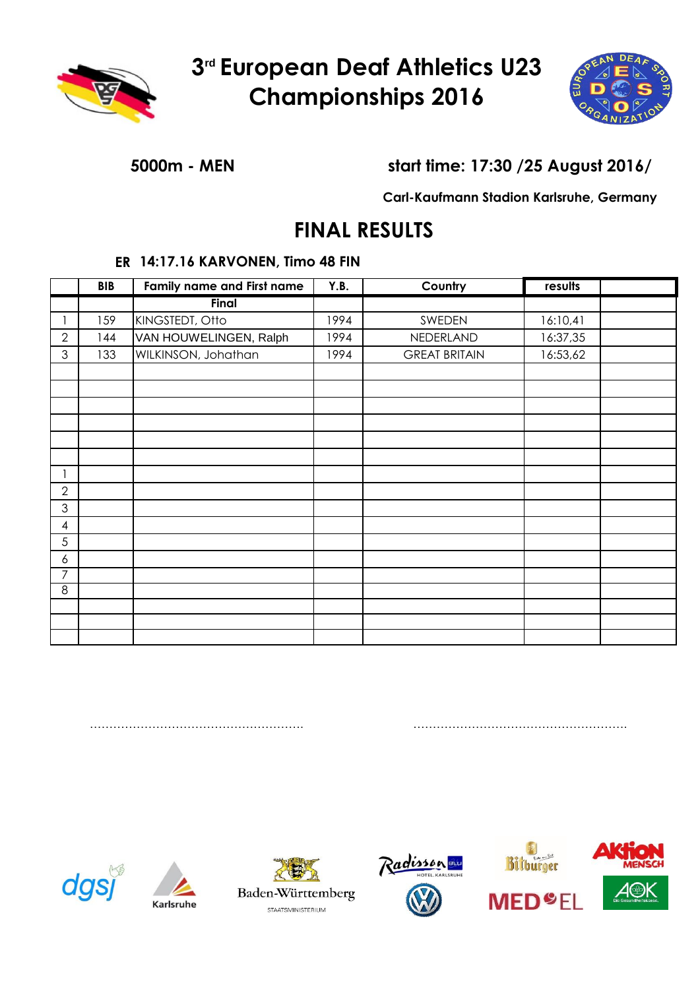



### **5000m - MEN start time: 17:30 /25 August 2016/**

**Carl-Kaufmann Stadion Karlsruhe, Germany**

## **FINAL RESULTS**

#### **ER 14:17.16 KARVONEN, Timo 48 FIN**

|                  | <b>BIB</b> | <b>Family name and First name</b> |      | Country              | results  |  |
|------------------|------------|-----------------------------------|------|----------------------|----------|--|
|                  |            | Final                             |      |                      |          |  |
|                  | 159        | KINGSTEDT, Otto                   | 1994 | SWEDEN               | 16:10,41 |  |
| $\overline{2}$   | 144        | VAN HOUWELINGEN, Ralph            | 1994 | NEDERLAND            | 16:37,35 |  |
| 3                | 133        | WILKINSON, Johathan               | 1994 | <b>GREAT BRITAIN</b> | 16:53,62 |  |
|                  |            |                                   |      |                      |          |  |
|                  |            |                                   |      |                      |          |  |
|                  |            |                                   |      |                      |          |  |
|                  |            |                                   |      |                      |          |  |
|                  |            |                                   |      |                      |          |  |
|                  |            |                                   |      |                      |          |  |
| 1                |            |                                   |      |                      |          |  |
| $\overline{2}$   |            |                                   |      |                      |          |  |
| 3                |            |                                   |      |                      |          |  |
| $\overline{4}$   |            |                                   |      |                      |          |  |
| $\sqrt{5}$       |            |                                   |      |                      |          |  |
| $\boldsymbol{6}$ |            |                                   |      |                      |          |  |
| $\overline{7}$   |            |                                   |      |                      |          |  |
| $\overline{8}$   |            |                                   |      |                      |          |  |
|                  |            |                                   |      |                      |          |  |
|                  |            |                                   |      |                      |          |  |
|                  |            |                                   |      |                      |          |  |

………………………………………………. ……………………………………………….







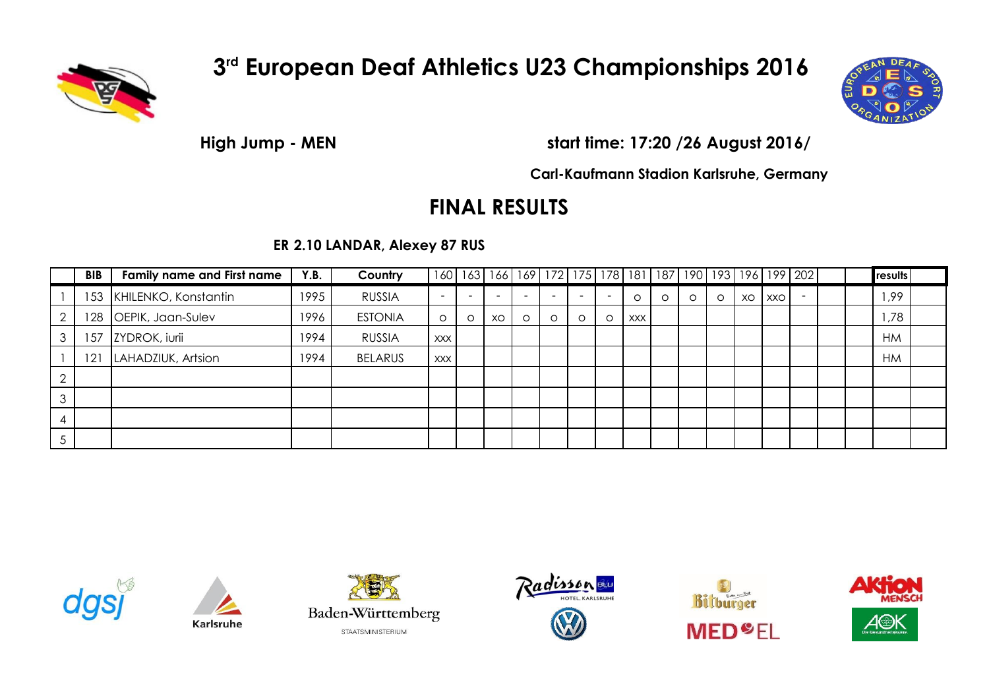



**High Jump - MEN start time: 17:20 /26 August 2016/**

**Carl-Kaufmann Stadion Karlsruhe, Germany**

## **FINAL RESULTS**

**ER 2.10 LANDAR, Alexey 87 RUS**

|        | <b>BIB</b> | <b>Family name and First name</b> | Y.B. | Country        |                          |         |    |         |         |         |                          |            |         |   |         |    |     | 160   163   166   169   172   175   178   181   187   190   193   196   199   202 |  | results   |  |
|--------|------------|-----------------------------------|------|----------------|--------------------------|---------|----|---------|---------|---------|--------------------------|------------|---------|---|---------|----|-----|-----------------------------------------------------------------------------------|--|-----------|--|
|        | 153        | KHILENKO, Konstantin              | 1995 | <b>RUSSIA</b>  | $\overline{\phantom{a}}$ |         |    |         |         |         | $\overline{\phantom{0}}$ |            | $\circ$ | O | $\circ$ | XO | XXO | $\overline{\phantom{a}}$                                                          |  | ,99       |  |
|        | '28        | OEPIK, Jaan-Sulev                 | 1996 | <b>ESTONIA</b> | $\circ$                  | $\circ$ | XO | $\circ$ | $\circ$ | $\circ$ | $\circ$                  | <b>XXX</b> |         |   |         |    |     |                                                                                   |  | ,78       |  |
|        | 157        | ZYDROK, iurii                     | 1994 | <b>RUSSIA</b>  | XXX I                    |         |    |         |         |         |                          |            |         |   |         |    |     |                                                                                   |  | <b>HM</b> |  |
|        | 121        | LAHADZIUK, Artsion                | 1994 | <b>BELARUS</b> | XXX I                    |         |    |         |         |         |                          |            |         |   |         |    |     |                                                                                   |  | <b>HM</b> |  |
|        |            |                                   |      |                |                          |         |    |         |         |         |                          |            |         |   |         |    |     |                                                                                   |  |           |  |
| $\sim$ |            |                                   |      |                |                          |         |    |         |         |         |                          |            |         |   |         |    |     |                                                                                   |  |           |  |
|        |            |                                   |      |                |                          |         |    |         |         |         |                          |            |         |   |         |    |     |                                                                                   |  |           |  |
|        |            |                                   |      |                |                          |         |    |         |         |         |                          |            |         |   |         |    |     |                                                                                   |  |           |  |